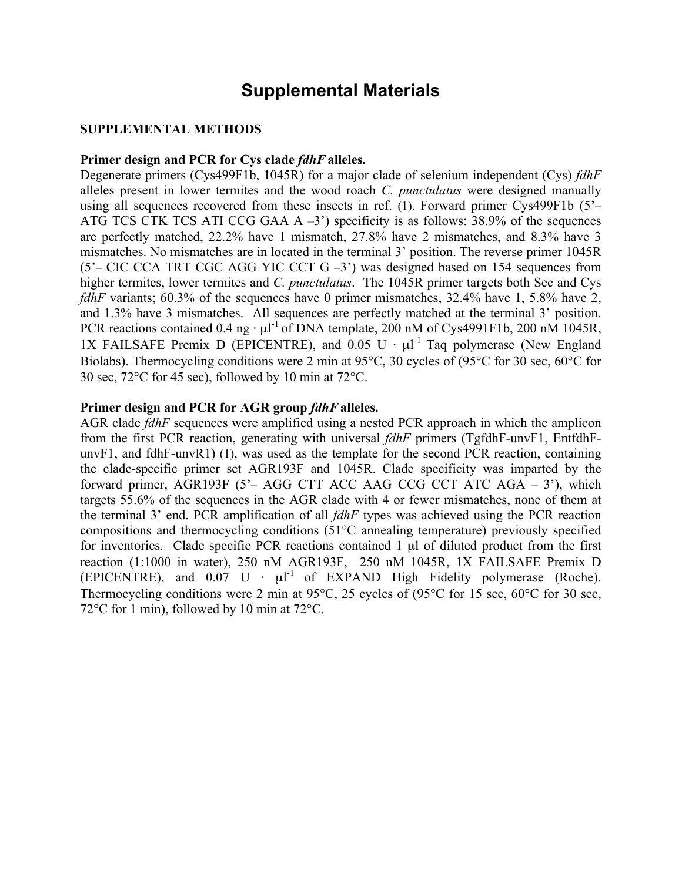## **Supplemental Materials**

## **SUPPLEMENTAL METHODS**

## **Primer design and PCR for Cys clade** *fdhF***alleles.**

Degenerate primers (Cys499F1b, 1045R) for a major clade of selenium independent (Cys) *fdhF* alleles present in lower termites and the wood roach *C. punctulatus* were designed manually using all sequences recovered from these insects in ref. (1). Forward primer Cys499F1b (5'– ATG TCS CTK TCS ATI CCG GAA  $A - 3$ <sup>2</sup>) specificity is as follows: 38.9% of the sequences are perfectly matched, 22.2% have 1 mismatch, 27.8% have 2 mismatches, and 8.3% have 3 mismatches. No mismatches are in located in the terminal 3' position. The reverse primer 1045R  $(5'-CIC CCA TRT CGC AGG YIC CCT G -3')$  was designed based on 154 sequences from higher termites, lower termites and *C. punctulatus*. The 1045R primer targets both Sec and Cys *fdhF* variants; 60.3% of the sequences have 0 primer mismatches, 32.4% have 1, 5.8% have 2, and 1.3% have 3 mismatches. All sequences are perfectly matched at the terminal 3' position. PCR reactions contained 0.4 ng  $\cdot \mu l^{-1}$  of DNA template, 200 nM of Cys4991F1b, 200 nM 1045R, 1X FAILSAFE Premix D (EPICENTRE), and 0.05 U  $\cdot$   $\mu$ <sup>1</sup> Taq polymerase (New England Biolabs). Thermocycling conditions were 2 min at 95°C, 30 cycles of (95°C for 30 sec, 60°C for 30 sec, 72°C for 45 sec), followed by 10 min at 72°C.

## **Primer design and PCR for AGR group** *fdhF***alleles.**

AGR clade *fdhF* sequences were amplified using a nested PCR approach in which the amplicon from the first PCR reaction, generating with universal *fdhF* primers (TgfdhF-unvF1, EntfdhFunvF1, and fdhF-unvR1) (1), was used as the template for the second PCR reaction, containing the clade-specific primer set AGR193F and 1045R. Clade specificity was imparted by the forward primer, AGR193F (5'– AGG CTT ACC AAG CCG CCT ATC AGA – 3'), which targets 55.6% of the sequences in the AGR clade with 4 or fewer mismatches, none of them at the terminal 3' end. PCR amplification of all *fdhF* types was achieved using the PCR reaction compositions and thermocycling conditions (51°C annealing temperature) previously specified for inventories. Clade specific PCR reactions contained 1 µl of diluted product from the first reaction (1:1000 in water), 250 nM AGR193F, 250 nM 1045R, 1X FAILSAFE Premix D (EPICENTRE), and  $0.07 \text{ U} \cdot \mu l^{-1}$  of EXPAND High Fidelity polymerase (Roche). Thermocycling conditions were 2 min at 95°C, 25 cycles of (95°C for 15 sec, 60°C for 30 sec, 72°C for 1 min), followed by 10 min at 72°C.